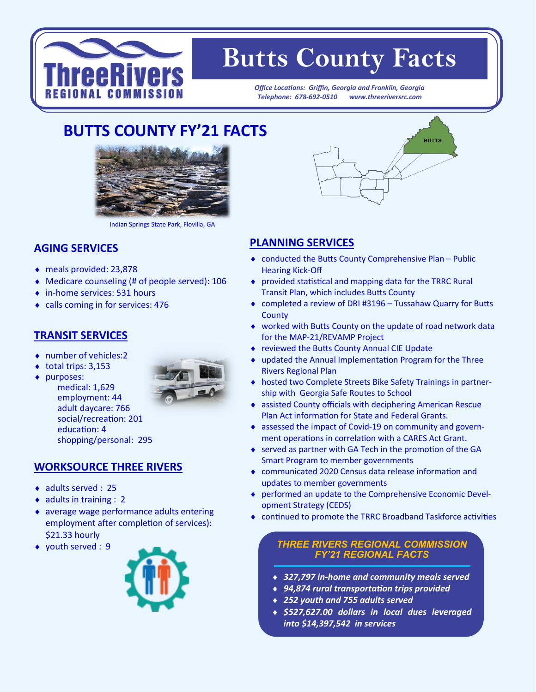

# **Butts County Facts**

*Office Locations: Griffin, Georgia and Franklin, Georgia Telephone: 678-692-0510 www.threeriversrc.com*

# **BUTTS COUNTY FY'21 FACTS**



Indian Springs State Park, Flovilla, GA

#### **AGING SERVICES**

- meals provided: 23,878
- Medicare counseling (# of people served): 106
- ◆ in-home services: 531 hours
- calls coming in for services: 476

#### **TRANSIT SERVICES**

- ◆ number of vehicles:2
- $\bullet$  total trips: 3,153
- ◆ purposes:



medical: 1,629 employment: 44 adult daycare: 766 social/recreation: 201 education: 4 shopping/personal: 295

## **WORKSOURCE THREE RIVERS**

- ◆ adults served : 25
- $\bullet$  adults in training : 2
- average wage performance adults entering employment after completion of services): \$21.33 hourly
- youth served : 9





### **PLANNING SERVICES**

- conducted the Butts County Comprehensive Plan Public Hearing Kick-Off
- provided statistical and mapping data for the TRRC Rural Transit Plan, which includes Butts County
- completed a review of DRI #3196 Tussahaw Quarry for Butts **County**
- worked with Butts County on the update of road network data for the MAP-21/REVAMP Project
- reviewed the Butts County Annual CIE Update
- updated the Annual Implementation Program for the Three Rivers Regional Plan
- hosted two Complete Streets Bike Safety Trainings in partnership with Georgia Safe Routes to School
- assisted County officials with deciphering American Rescue Plan Act information for State and Federal Grants.
- assessed the impact of Covid-19 on community and government operations in correlation with a CARES Act Grant.
- ◆ served as partner with GA Tech in the promotion of the GA Smart Program to member governments
- communicated 2020 Census data release information and updates to member governments
- performed an update to the Comprehensive Economic Development Strategy (CEDS)
- continued to promote the TRRC Broadband Taskforce activities

#### *THREE RIVERS REGIONAL COMMISSION FY'21 REGIONAL FACTS*

- *327,797 in-home and community meals served*
- *94,874 rural transportation trips provided*
- *252 youth and 755 adults served*
- *\$527,627.00 dollars in local dues leveraged into \$14,397,542 in services*